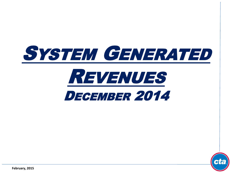



**February, 2015**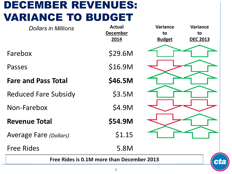# DECEMBER REVENUES: VARIANCE TO BUDGET

| <b>Dollars in Millions</b>                 | <b>Actual</b>   | <b>Variance</b> | <b>Variance</b> |  |
|--------------------------------------------|-----------------|-----------------|-----------------|--|
|                                            | <b>December</b> | to              | to              |  |
|                                            | 2014            | <b>Budget</b>   | <b>DEC 2013</b> |  |
| Farebox                                    | \$29.6M         |                 |                 |  |
| Passes                                     | \$16.9M         |                 |                 |  |
| <b>Fare and Pass Total</b>                 | \$46.5M         |                 |                 |  |
| <b>Reduced Fare Subsidy</b>                | \$3.5M          |                 |                 |  |
| Non-Farebox                                | \$4.9M          |                 |                 |  |
| <b>Revenue Total</b>                       | \$54.9M         |                 |                 |  |
| <b>Average Fare (Dollars)</b>              | \$1.15          |                 |                 |  |
| <b>Free Rides</b>                          | 5.8M            |                 |                 |  |
| Free Rides is 0.1M more than December 2013 |                 |                 |                 |  |

3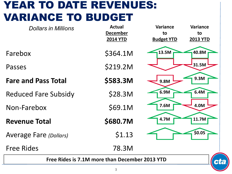### YEAR TO DATE REVENUES: VARIANCE TO BUDGET

| <b>Dollars in Millions</b>                           | <b>Actual</b><br><b>December</b><br><b>2014 YTD</b> | Variance<br>to<br><b>Budget YTD</b> | Variance<br>to<br><b>2013 YTD</b> |
|------------------------------------------------------|-----------------------------------------------------|-------------------------------------|-----------------------------------|
| Farebox                                              | \$364.1M                                            | 13.5M                               | 40.8M                             |
| Passes                                               | \$219.2M                                            |                                     | 31.5M                             |
| <b>Fare and Pass Total</b>                           | \$583.3M                                            | 9.8M                                | 9.3M                              |
| <b>Reduced Fare Subsidy</b>                          | \$28.3M                                             | 6.9M                                | 6.4M                              |
| Non-Farebox                                          | \$69.1M                                             | 7.6M                                | 4.0M                              |
| <b>Revenue Total</b>                                 | \$680.7M                                            | 4.7M                                | 11.7M                             |
| <b>Average Fare (Dollars)</b>                        | \$1.13                                              |                                     | \$0.05                            |
| <b>Free Rides</b>                                    | 78.3M                                               |                                     |                                   |
| Free Rides is 7.1M more than December 2013 YTD<br>ct |                                                     |                                     |                                   |
|                                                      |                                                     |                                     |                                   |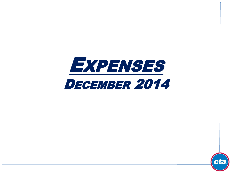

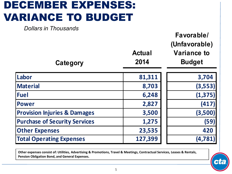# DECEMBER EXPENSES: VARIANCE TO BUDGET

*Dollars in Thousands*

| Category                                | <b>Actual</b><br>2014 | Favorable/<br>(Unfavorable)<br><b>Variance to</b><br><b>Budget</b> |
|-----------------------------------------|-----------------------|--------------------------------------------------------------------|
| Labor                                   | 81,311                | 3,704                                                              |
| <b>Material</b>                         | 8,703                 | (3, 553)                                                           |
| <b>Fuel</b>                             | 6,248                 | (1, 375)                                                           |
| <b>Power</b>                            | 2,827                 | (417)                                                              |
| <b>Provision Injuries &amp; Damages</b> | 3,500                 | (3,500)                                                            |
| <b>Purchase of Security Services</b>    | 1,275                 | (59)                                                               |
| <b>Other Expenses</b>                   | 23,535                | 420                                                                |
| <b>Total Operating Expenses</b>         | 127,399               | (4, 781)                                                           |

**Other expenses consist of: Utilities, Advertising & Promotions, Travel & Meetings, Contractual Services, Leases & Rentals, Pension Obligation Bond, and General Expenses.**

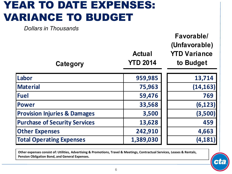### YEAR TO DATE EXPENSES: VARIANCE TO BUDGET

*Dollars in Thousands*

| Category                                | <b>Actual</b><br><b>YTD 2014</b> | Favorable/<br>(Unfavorable)<br><b>YTD Variance</b><br>to Budget |
|-----------------------------------------|----------------------------------|-----------------------------------------------------------------|
| Labor                                   | 959,985                          | 13,714                                                          |
| <b>Material</b>                         | 75,963                           | (14, 163)                                                       |
| <b>Fuel</b>                             | 59,476                           | 769                                                             |
| <b>Power</b>                            | 33,568                           | (6, 123)                                                        |
| <b>Provision Injuries &amp; Damages</b> | 3,500                            | (3,500)                                                         |
| <b>Purchase of Security Services</b>    | 13,628                           | 459                                                             |
| <b>Other Expenses</b>                   | 242,910                          | 4,663                                                           |
| <b>Total Operating Expenses</b>         | 1,389,030                        | (4, 181)                                                        |

**Other expenses consist of: Utilities, Advertising & Promotions, Travel & Meetings, Contractual Services, Leases & Rentals, Pension Obligation Bond, and General Expenses.**

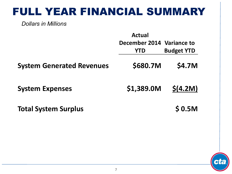### FULL YEAR FINANCIAL SUMMARY

*Dollars in Millions*

|                                  | <b>Actual</b>             |                   |
|----------------------------------|---------------------------|-------------------|
|                                  | December 2014 Variance to |                   |
|                                  | <b>YTD</b>                | <b>Budget YTD</b> |
| <b>System Generated Revenues</b> | \$680.7M                  | \$4.7M            |
| <b>System Expenses</b>           | \$1,389.0M                | \$(4.2M)          |
| <b>Total System Surplus</b>      |                           | \$0.5M            |